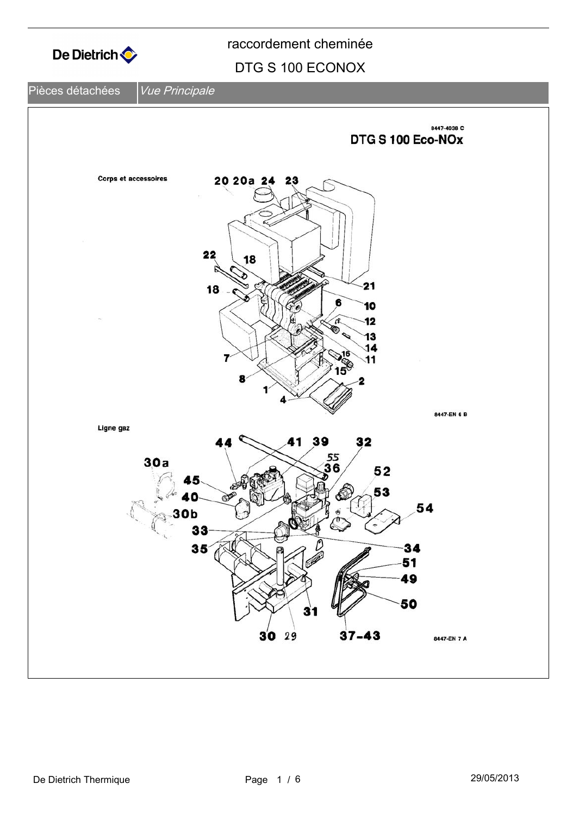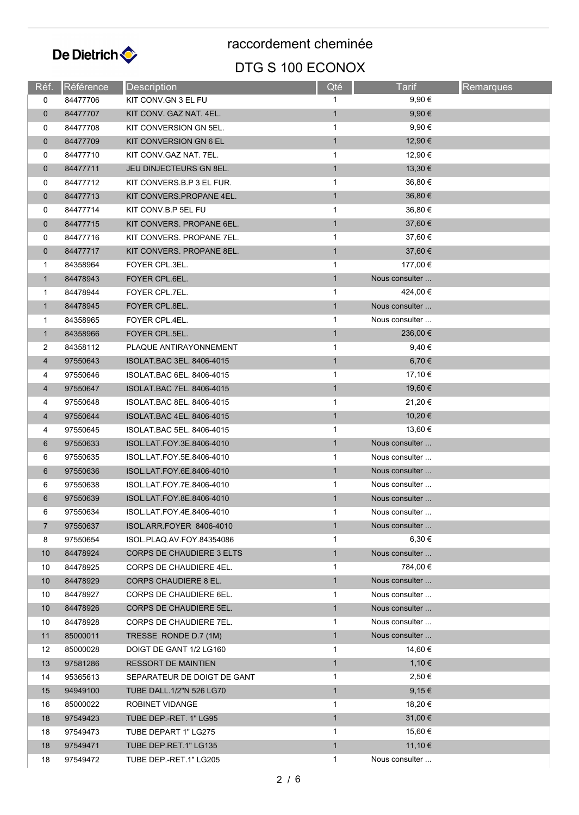

| Réf.           | Référence | <b>Description</b>               | Qté          | Tarif          | Remarques |
|----------------|-----------|----------------------------------|--------------|----------------|-----------|
| 0              | 84477706  | KIT CONV.GN 3 EL FU              | 1            | $9.90 \in$     |           |
| $\mathbf 0$    | 84477707  | KIT CONV. GAZ NAT. 4EL.          | $\mathbf{1}$ | $9,90 \in$     |           |
| 0              | 84477708  | KIT CONVERSION GN 5EL.           | 1            | $9,90 \in$     |           |
| $\mathbf 0$    | 84477709  | KIT CONVERSION GN 6 EL           | $\mathbf{1}$ | 12,90 €        |           |
| 0              | 84477710  | KIT CONV GAZ NAT. 7EL.           | 1            | 12,90 €        |           |
| $\mathbf{0}$   | 84477711  | <b>JEU DINJECTEURS GN 8EL.</b>   | $\mathbf{1}$ | $13,30 \in$    |           |
| 0              | 84477712  | KIT CONVERS B.P 3 EL FUR.        | 1            | 36,80 €        |           |
| $\mathbf 0$    | 84477713  | KIT CONVERS.PROPANE 4EL.         | $\mathbf{1}$ | 36,80 €        |           |
| 0              | 84477714  | KIT CONV.B.P 5EL FU              | 1            | 36,80 €        |           |
| $\mathbf 0$    | 84477715  | KIT CONVERS. PROPANE 6EL.        | $\mathbf{1}$ | 37,60 €        |           |
| 0              | 84477716  | KIT CONVERS. PROPANE 7EL.        | $\mathbf{1}$ | 37,60 €        |           |
| $\mathbf{0}$   | 84477717  | KIT CONVERS. PROPANE 8EL.        | $\mathbf{1}$ | 37,60 €        |           |
| 1              | 84358964  | FOYER CPL.3EL.                   | $\mathbf{1}$ | 177,00 €       |           |
| $\mathbf{1}$   | 84478943  | FOYER CPL.6EL.                   | $\mathbf{1}$ | Nous consulter |           |
| $\mathbf{1}$   | 84478944  | FOYER CPL.7EL.                   | $\mathbf{1}$ | 424,00 €       |           |
| $\mathbf{1}$   | 84478945  | FOYER CPL.8EL.                   | $\mathbf{1}$ | Nous consulter |           |
| 1              | 84358965  | FOYER CPL.4EL.                   | 1            | Nous consulter |           |
| $\mathbf{1}$   | 84358966  | FOYER CPL.5EL.                   | $\mathbf{1}$ | 236,00 €       |           |
| 2              | 84358112  | PLAQUE ANTIRAYONNEMENT           | 1            | 9,40€          |           |
| $\overline{4}$ | 97550643  | ISOLAT.BAC 3EL. 8406-4015        | $\mathbf{1}$ | 6,70€          |           |
| 4              | 97550646  | ISOLAT BAC 6EL. 8406-4015        | 1            | 17,10 €        |           |
| 4              | 97550647  | ISOLAT BAC 7EL. 8406-4015        | $\mathbf{1}$ | 19,60 €        |           |
| 4              | 97550648  | ISOLAT BAC 8EL. 8406-4015        | $\mathbf{1}$ | 21,20 €        |           |
| $\overline{4}$ | 97550644  | ISOLAT.BAC 4EL. 8406-4015        | $\mathbf{1}$ | 10,20 €        |           |
| 4              | 97550645  | ISOLAT BAC 5EL. 8406-4015        | 1            | 13,60 €        |           |
| 6              | 97550633  | ISOL.LAT.FOY.3E.8406-4010        | $\mathbf{1}$ | Nous consulter |           |
| 6              | 97550635  | ISOL.LAT.FOY.5E.8406-4010        | $\mathbf{1}$ | Nous consulter |           |
| 6              | 97550636  | ISOL.LAT.FOY.6E.8406-4010        | $\mathbf{1}$ | Nous consulter |           |
| 6              | 97550638  | ISOL LAT FOY 7E 8406-4010        | $\mathbf{1}$ | Nous consulter |           |
| 6              | 97550639  | ISOL.LAT.FOY.8E.8406-4010        | $\mathbf{1}$ | Nous consulter |           |
| 6              | 97550634  | ISOL.LAT.FOY.4E.8406-4010        | $\mathbf{1}$ | Nous consulter |           |
| $\overline{7}$ | 97550637  | ISOL.ARR.FOYER 8406-4010         | $\mathbf{1}$ | Nous consulter |           |
| 8              | 97550654  | ISOL.PLAQ.AV.FOY.84354086        | $\mathbf{1}$ | $6.30 \in$     |           |
| 10             | 84478924  | <b>CORPS DE CHAUDIERE 3 ELTS</b> | $\mathbf{1}$ | Nous consulter |           |
| 10             | 84478925  | CORPS DE CHAUDIERE 4EL.          | 1            | 784,00 €       |           |
| 10             | 84478929  | <b>CORPS CHAUDIERE 8 EL.</b>     | $\mathbf{1}$ | Nous consulter |           |
| 10             | 84478927  | CORPS DE CHAUDIERE 6EL.          | $\mathbf{1}$ | Nous consulter |           |
| 10             | 84478926  | CORPS DE CHAUDIERE 5EL.          | $\mathbf{1}$ | Nous consulter |           |
| 10             | 84478928  | CORPS DE CHAUDIERE 7EL.          | $\mathbf{1}$ | Nous consulter |           |
| 11             | 85000011  | TRESSE RONDE D.7 (1M)            | $\mathbf{1}$ | Nous consulter |           |
| 12             | 85000028  | DOIGT DE GANT 1/2 LG160          | 1            | 14,60 €        |           |
| 13             | 97581286  | <b>RESSORT DE MAINTIEN</b>       | 1            | 1,10€          |           |
| 14             | 95365613  | SEPARATEUR DE DOIGT DE GANT      | $\mathbf{1}$ | 2,50€          |           |
| 15             | 94949100  | TUBE DALL.1/2"N 526 LG70         | $\mathbf{1}$ | 9,15€          |           |
| 16             | 85000022  | ROBINET VIDANGE                  | 1            | 18,20 €        |           |
| 18             | 97549423  | TUBE DEP - RET. 1" LG95          | $\mathbf{1}$ | 31,00 €        |           |
| 18             | 97549473  | TUBE DEPART 1" LG275             | 1            | 15,60 €        |           |
| 18             | 97549471  | TUBE DEP RET.1" LG135            | $\mathbf{1}$ | 11,10 €        |           |
| 18             | 97549472  | TUBE DEP.-RET.1" LG205           | $\mathbf{1}$ | Nous consulter |           |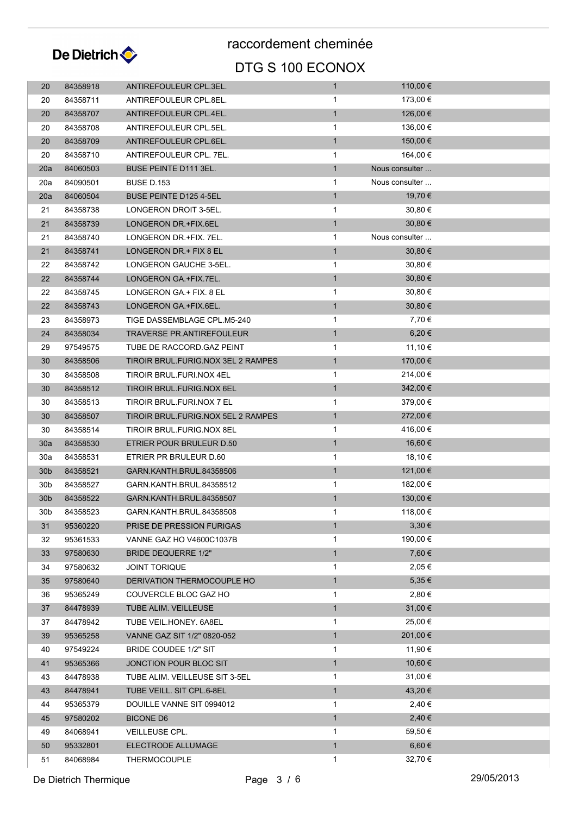

| 20              | 84358918 | ANTIREFOULEUR CPL.3EL.             | 1            | 110,00 €       |  |
|-----------------|----------|------------------------------------|--------------|----------------|--|
| 20              | 84358711 | ANTIREFOULEUR CPL.8EL.             | 1            | 173,00 €       |  |
| 20              | 84358707 | ANTIREFOULEUR CPL.4EL.             | $\mathbf{1}$ | 126,00 €       |  |
| 20              | 84358708 | ANTIREFOULEUR CPL.5EL.             | $\mathbf{1}$ | 136,00 €       |  |
| 20              | 84358709 | ANTIREFOULEUR CPL.6EL.             | $\mathbf{1}$ | 150,00 €       |  |
| 20              | 84358710 | ANTIREFOULEUR CPL. 7EL.            | $\mathbf{1}$ | 164,00 €       |  |
| 20a             | 84060503 | <b>BUSE PEINTE D111 3EL.</b>       | $\mathbf{1}$ | Nous consulter |  |
| 20a             | 84090501 | <b>BUSE D.153</b>                  | $\mathbf{1}$ | Nous consulter |  |
| 20a             | 84060504 | <b>BUSE PEINTE D125 4-5EL</b>      | $\mathbf{1}$ | 19,70 €        |  |
| 21              | 84358738 | LONGERON DROIT 3-5EL.              | $\mathbf{1}$ | $30,80 \in$    |  |
| 21              | 84358739 | LONGERON DR.+FIX.6EL               | $\mathbf{1}$ | 30,80 €        |  |
| 21              | 84358740 | LONGERON DR. + FIX. 7EL.           | 1            | Nous consulter |  |
| 21              | 84358741 | LONGERON DR.+ FIX 8 EL             | $\mathbf{1}$ | $30,80 \in$    |  |
| 22              | 84358742 | LONGERON GAUCHE 3-5EL.             | $\mathbf{1}$ | $30,80 \in$    |  |
| 22              | 84358744 | LONGERON GA.+FIX.7EL.              | $\mathbf{1}$ | 30,80 €        |  |
| 22              | 84358745 | LONGERON GA + FIX. 8 EL            | $\mathbf{1}$ | $30,80 \in$    |  |
| 22              | 84358743 | LONGERON GA.+FIX.6EL.              | $\mathbf{1}$ | 30,80 €        |  |
| 23              | 84358973 | TIGE DASSEMBLAGE CPL.M5-240        | 1            | 7,70 €         |  |
| 24              | 84358034 | <b>TRAVERSE PR.ANTIREFOULEUR</b>   | $\mathbf{1}$ | 6,20€          |  |
| 29              | 97549575 | TUBE DE RACCORD GAZ PEINT          | $\mathbf{1}$ | 11,10 €        |  |
| 30              | 84358506 | TIROIR BRUL FURIG NOX 3EL 2 RAMPES | $\mathbf{1}$ | 170,00 €       |  |
| 30              | 84358508 | TIROIR BRUL.FURI.NOX 4EL           | $\mathbf{1}$ | 214,00 €       |  |
| 30              | 84358512 | TIROIR BRUL.FURIG.NOX 6EL          | $\mathbf{1}$ | 342,00 €       |  |
| 30              | 84358513 | TIROIR BRUL FURI NOX 7 EL          | 1            | 379,00 €       |  |
| 30              | 84358507 | TIROIR BRUL FURIG NOX 5EL 2 RAMPES | $\mathbf{1}$ | 272,00 €       |  |
| 30              | 84358514 | TIROIR BRUL.FURIG.NOX 8EL          | $\mathbf{1}$ | 416,00 €       |  |
| 30a             | 84358530 | ETRIER POUR BRULEUR D.50           | $\mathbf{1}$ | 16,60 €        |  |
| 30a             | 84358531 | ETRIER PR BRULEUR D.60             | $\mathbf{1}$ | 18,10 €        |  |
| 30 <sub>b</sub> | 84358521 | GARN.KANTH.BRUL.84358506           | $\mathbf{1}$ | 121,00 €       |  |
| 30 <sub>b</sub> | 84358527 | GARN KANTH BRUL 84358512           | $\mathbf{1}$ | 182,00 €       |  |
| 30 <sub>b</sub> | 84358522 | GARN KANTH BRUL 84358507           | $\mathbf{1}$ | 130,00 €       |  |
| 30 <sub>b</sub> | 84358523 | GARN KANTH BRUL 84358508           | 1            | 118,00 €       |  |
| 31              | 95360220 | PRISE DE PRESSION FURIGAS          | $\mathbf{1}$ | $3,30 \in$     |  |
| 32              | 95361533 | VANNE GAZ HO V4600C1037B           | $\mathbf{1}$ | 190,00 €       |  |
| 33              | 97580630 | BRIDE DEQUERRE 1/2"                | $\mathbf{1}$ | 7,60 €         |  |
| 34              | 97580632 | <b>JOINT TORIQUE</b>               | $\mathbf{1}$ | 2,05 €         |  |
| 35              | 97580640 | DERIVATION THERMOCOUPLE HO         | $\mathbf{1}$ | $5,35 \in$     |  |
| 36              | 95365249 | COUVERCLE BLOC GAZ HO              | 1            | 2,80€          |  |
| 37              | 84478939 | TUBE ALIM. VEILLEUSE               | $\mathbf{1}$ | 31,00 €        |  |
| 37              | 84478942 | TUBE VEIL.HONEY. 6A8EL             | 1            | 25,00 €        |  |
| 39              | 95365258 | VANNE GAZ SIT 1/2" 0820-052        | $\mathbf{1}$ | 201,00 €       |  |
| 40              | 97549224 | BRIDE COUDEE 1/2" SIT              | $\mathbf{1}$ | 11,90 €        |  |
| 41              | 95365366 | JONCTION POUR BLOC SIT             | $\mathbf{1}$ | 10,60 €        |  |
| 43              | 84478938 | TUBE ALIM. VEILLEUSE SIT 3-5EL     | 1            | 31,00 €        |  |
| 43              | 84478941 | TUBE VEILL. SIT CPL.6-8EL          | $\mathbf{1}$ | 43,20 €        |  |
| 44              | 95365379 | DOUILLE VANNE SIT 0994012          | 1            | 2,40 €         |  |
| 45              | 97580202 | <b>BICONE D6</b>                   | $\mathbf{1}$ | 2,40€          |  |
| 49              | 84068941 | VEILLEUSE CPL.                     | 1            | 59,50 €        |  |
| 50              | 95332801 | ELECTRODE ALLUMAGE                 | $\mathbf{1}$ | $6,60 \in$     |  |
| 51              | 84068984 | <b>THERMOCOUPLE</b>                | $\mathbf 1$  | 32,70 €        |  |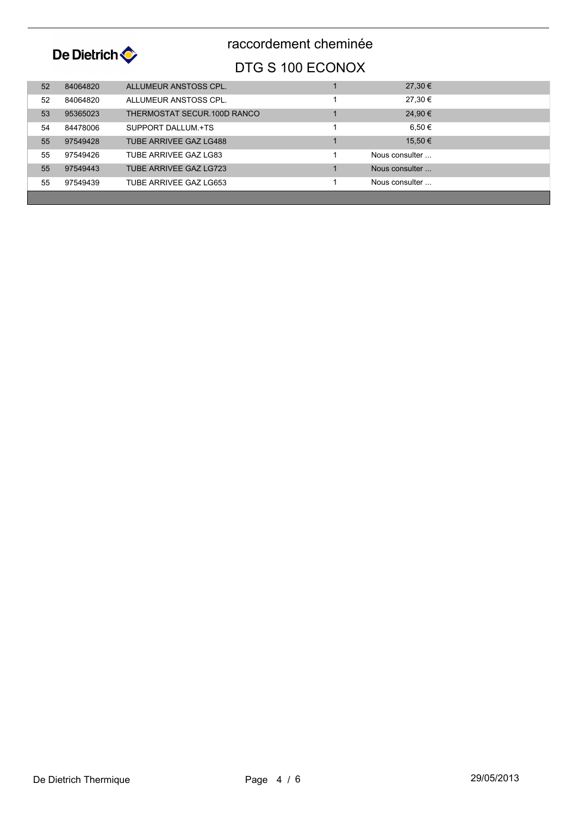

| 52 | 84064820 | ALLUMEUR ANSTOSS CPL.         | $27,30 \in$     |  |
|----|----------|-------------------------------|-----------------|--|
| 52 | 84064820 | ALLUMEUR ANSTOSS CPL.         | 27,30 €         |  |
| 53 | 95365023 | THERMOSTAT SECUR.100D RANCO   | 24,90 €         |  |
| 54 | 84478006 | SUPPORT DALLUM +TS            | 6.50 $\epsilon$ |  |
| 55 | 97549428 | <b>TUBE ARRIVEE GAZ LG488</b> | 15,50 €         |  |
| 55 | 97549426 | TUBE ARRIVEE GAZ LG83         | Nous consulter  |  |
| 55 | 97549443 | TUBE ARRIVEE GAZ LG723        | Nous consulter  |  |
| 55 | 97549439 | TUBE ARRIVEE GAZ LG653        | Nous consulter  |  |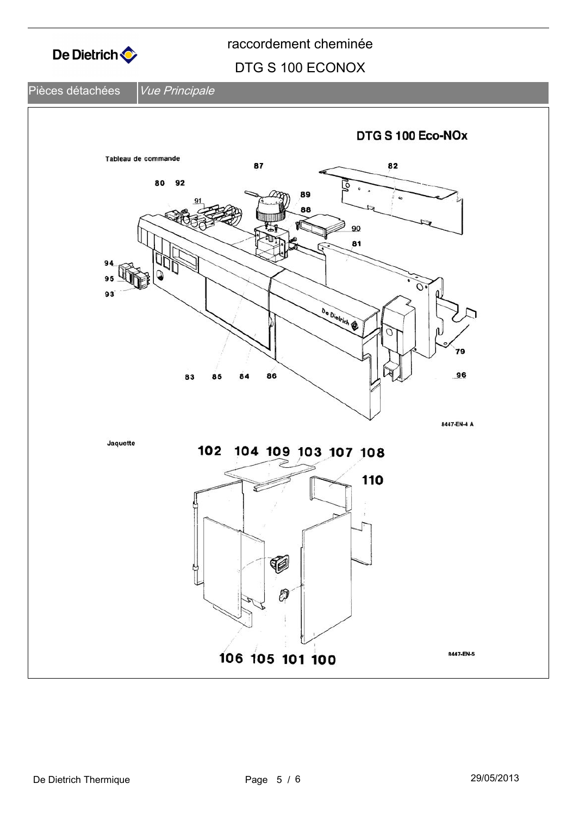

### DTG S 100 ECONOX

#### Pièces détachées *Vue Principale*